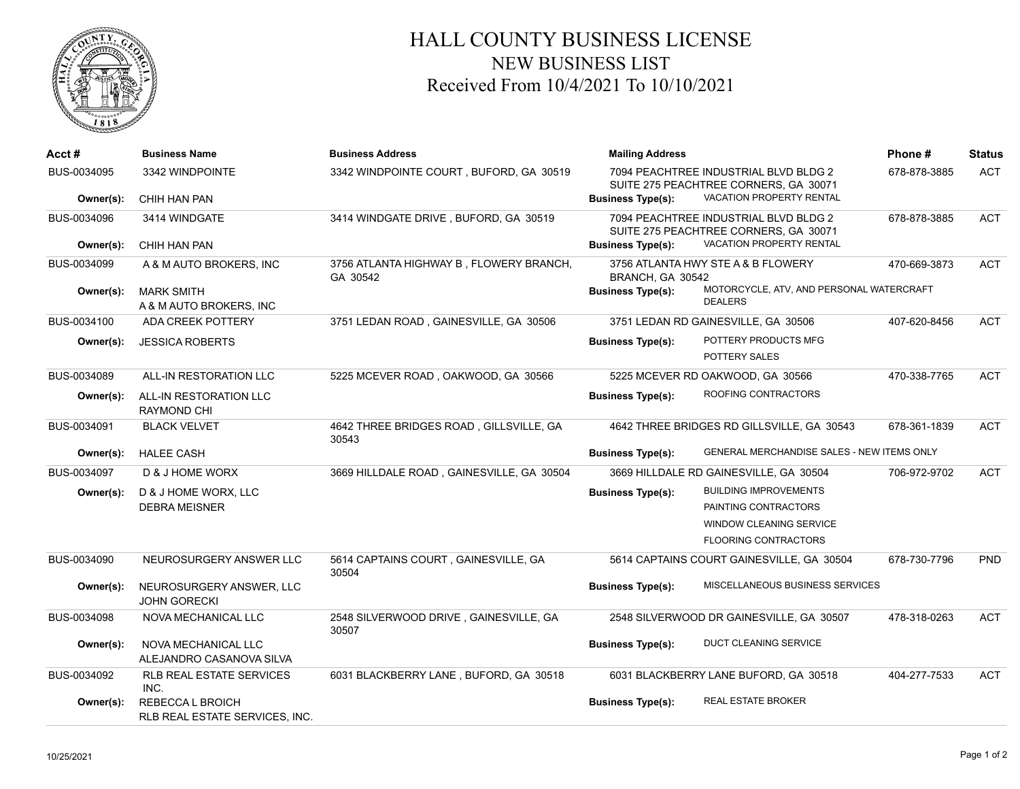

## HALL COUNTY BUSINESS LICENSE NEW BUSINESS LIST Received From 10/4/2021 To 10/10/2021

| Acct#       | <b>Business Name</b>                               | <b>Business Address</b>                             | <b>Mailing Address</b>   |                                                                                | Phone#       | <b>Status</b> |
|-------------|----------------------------------------------------|-----------------------------------------------------|--------------------------|--------------------------------------------------------------------------------|--------------|---------------|
| BUS-0034095 | 3342 WINDPOINTE                                    | 3342 WINDPOINTE COURT, BUFORD, GA 30519             |                          | 7094 PEACHTREE INDUSTRIAL BLVD BLDG 2<br>SUITE 275 PEACHTREE CORNERS, GA 30071 | 678-878-3885 | <b>ACT</b>    |
| Owner(s):   | CHIH HAN PAN                                       |                                                     | <b>Business Type(s):</b> | VACATION PROPERTY RENTAL                                                       |              |               |
| BUS-0034096 | 3414 WINDGATE                                      | 3414 WINDGATE DRIVE, BUFORD, GA 30519               |                          | 7094 PEACHTREE INDUSTRIAL BLVD BLDG 2<br>SUITE 275 PEACHTREE CORNERS, GA 30071 | 678-878-3885 | <b>ACT</b>    |
| Owner(s):   | CHIH HAN PAN                                       |                                                     | <b>Business Type(s):</b> | VACATION PROPERTY RENTAL                                                       |              |               |
| BUS-0034099 | A & M AUTO BROKERS. INC                            | 3756 ATLANTA HIGHWAY B, FLOWERY BRANCH,<br>GA 30542 | BRANCH, GA 30542         | 3756 ATLANTA HWY STE A & B FLOWERY                                             | 470-669-3873 | <b>ACT</b>    |
| Owner(s):   | <b>MARK SMITH</b><br>A & M AUTO BROKERS, INC       |                                                     | <b>Business Type(s):</b> | MOTORCYCLE, ATV, AND PERSONAL WATERCRAFT<br><b>DEALERS</b>                     |              |               |
| BUS-0034100 | ADA CREEK POTTERY                                  | 3751 LEDAN ROAD, GAINESVILLE, GA 30506              |                          | 3751 LEDAN RD GAINESVILLE, GA 30506                                            | 407-620-8456 | <b>ACT</b>    |
| Owner(s):   | <b>JESSICA ROBERTS</b>                             |                                                     | <b>Business Type(s):</b> | POTTERY PRODUCTS MFG                                                           |              |               |
|             |                                                    |                                                     |                          | POTTERY SALES                                                                  |              |               |
| BUS-0034089 | ALL-IN RESTORATION LLC                             | 5225 MCEVER ROAD, OAKWOOD, GA 30566                 |                          | 5225 MCEVER RD OAKWOOD, GA 30566                                               | 470-338-7765 | <b>ACT</b>    |
| Owner(s):   | ALL-IN RESTORATION LLC<br><b>RAYMOND CHI</b>       |                                                     | <b>Business Type(s):</b> | ROOFING CONTRACTORS                                                            |              |               |
| BUS-0034091 | <b>BLACK VELVET</b>                                | 4642 THREE BRIDGES ROAD, GILLSVILLE, GA<br>30543    |                          | 4642 THREE BRIDGES RD GILLSVILLE, GA 30543                                     | 678-361-1839 | <b>ACT</b>    |
| Owner(s):   | <b>HALEE CASH</b>                                  |                                                     | <b>Business Type(s):</b> | GENERAL MERCHANDISE SALES - NEW ITEMS ONLY                                     |              |               |
| BUS-0034097 | D & J HOME WORX                                    | 3669 HILLDALE ROAD, GAINESVILLE, GA 30504           |                          | 3669 HILLDALE RD GAINESVILLE, GA 30504                                         | 706-972-9702 | <b>ACT</b>    |
| Owner(s):   | D & J HOME WORX, LLC                               |                                                     | <b>Business Type(s):</b> | <b>BUILDING IMPROVEMENTS</b>                                                   |              |               |
|             | <b>DEBRA MEISNER</b>                               |                                                     |                          | PAINTING CONTRACTORS                                                           |              |               |
|             |                                                    |                                                     |                          | WINDOW CLEANING SERVICE                                                        |              |               |
|             |                                                    |                                                     |                          | <b>FLOORING CONTRACTORS</b>                                                    |              |               |
| BUS-0034090 | NEUROSURGERY ANSWER LLC                            | 5614 CAPTAINS COURT, GAINESVILLE, GA<br>30504       |                          | 5614 CAPTAINS COURT GAINESVILLE, GA 30504                                      | 678-730-7796 | <b>PND</b>    |
| Owner(s):   | NEUROSURGERY ANSWER, LLC<br><b>JOHN GORECKI</b>    |                                                     | <b>Business Type(s):</b> | MISCELLANEOUS BUSINESS SERVICES                                                |              |               |
| BUS-0034098 | NOVA MECHANICAL LLC                                | 2548 SILVERWOOD DRIVE, GAINESVILLE, GA<br>30507     |                          | 2548 SILVERWOOD DR GAINESVILLE, GA 30507                                       | 478-318-0263 | <b>ACT</b>    |
| Owner(s):   | NOVA MECHANICAL LLC<br>ALEJANDRO CASANOVA SILVA    |                                                     | <b>Business Type(s):</b> | <b>DUCT CLEANING SERVICE</b>                                                   |              |               |
| BUS-0034092 | <b>RLB REAL ESTATE SERVICES</b><br>INC.            | 6031 BLACKBERRY LANE, BUFORD, GA 30518              |                          | 6031 BLACKBERRY LANE BUFORD, GA 30518                                          | 404-277-7533 | <b>ACT</b>    |
| Owner(s):   | REBECCA L BROICH<br>RLB REAL ESTATE SERVICES, INC. |                                                     | <b>Business Type(s):</b> | REAL ESTATE BROKER                                                             |              |               |